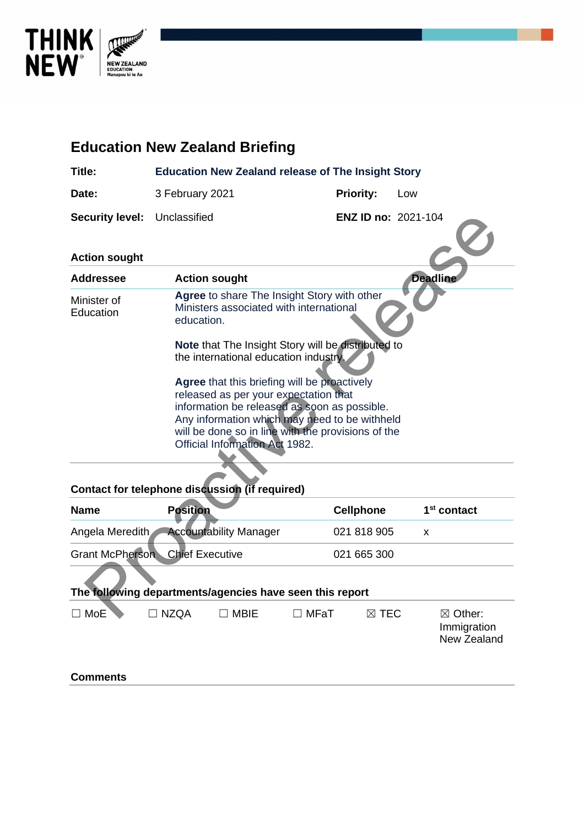

# **Education New Zealand Briefing Title: Education New Zealand release of The Insight Story** Date: 3 February 2021 **Priority:** Low **Security level:** Unclassified **ENZ ID no:** 2021-104 **Action sought Addressee Action sought Deadline** Minister of Education **Agree** to share The Insight Story with other Ministers associated with international education. **Note** that The Insight Story will be distributed to the international education industry. **Agree** that this briefing will be proactively released as per your expectation that information be released as soon as possible. Any information which may need to be withheld will be done so in line with the provisions of the Official Information Act 1982. curity level: Unclassified<br>
tion sought<br>
thressee<br>
Action sought<br>
alter of<br>
Agree to share The Insight Story with other<br>
inster of<br>
Agree that The Insight Story will be distributed to<br>
the international education industry

### **Contact for telephone discussion (if required)**

| <b>Name</b>     | <b>Position</b>                        |                               |                                                          | <b>Cellphone</b> | 1 <sup>st</sup> contact                          |
|-----------------|----------------------------------------|-------------------------------|----------------------------------------------------------|------------------|--------------------------------------------------|
| Angela Meredith |                                        | <b>Accountability Manager</b> |                                                          | 021 818 905      | X                                                |
|                 | <b>Grant McPherson</b> Chief Executive |                               |                                                          | 021 665 300      |                                                  |
|                 |                                        |                               | The following departments/agencies have seen this report |                  |                                                  |
| <b>MoE</b>      | <b>NZOA</b>                            | <b>MBIE</b>                   | $\Box$ MFaT                                              | $\boxtimes$ TEC  | $\boxtimes$ Other:<br>Immigration<br>New Zealand |
| <b>Comments</b> |                                        |                               |                                                          |                  |                                                  |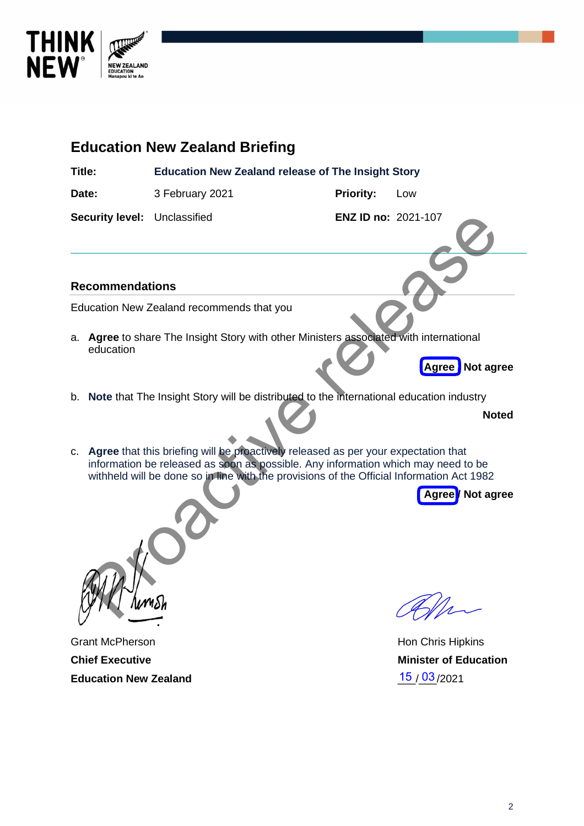

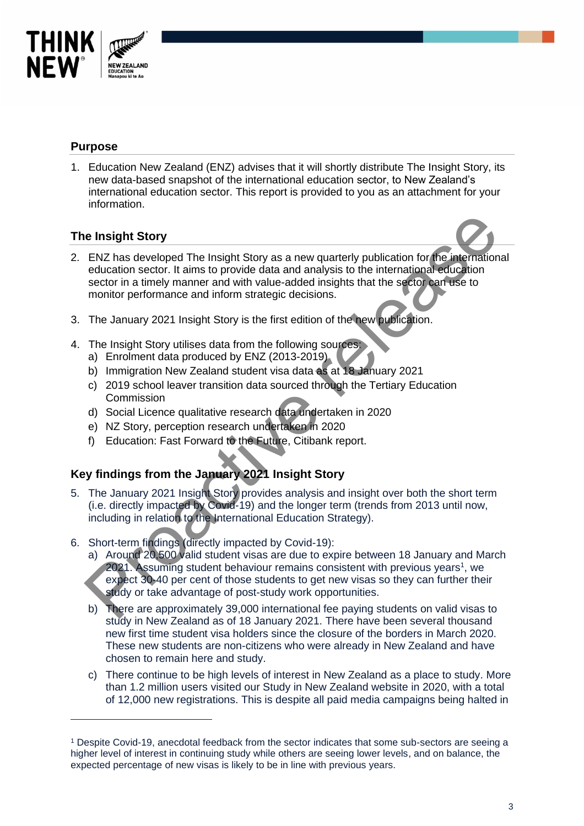

# **Purpose**

1. Education New Zealand (ENZ) advises that it will shortly distribute The Insight Story, its new data-based snapshot of the international education sector, to New Zealand's international education sector. This report is provided to you as an attachment for your information.

# **The Insight Story**

- 2. ENZ has developed The Insight Story as a new quarterly publication for the international education sector. It aims to provide data and analysis to the international education sector in a timely manner and with value-added insights that the sector can use to monitor performance and inform strategic decisions. e Insight Story<br>
ENZ has developed The Insight Story as a new quarterly publication for the international<br>
education sector. It aims to provide data and analysis to the international<br>
education sector in a timely manner an
- 3. The January 2021 Insight Story is the first edition of the new publication.
- 4. The Insight Story utilises data from the following sources:
	- a) Enrolment data produced by ENZ (2013-2019)
	- b) Immigration New Zealand student visa data as at 18 January 2021
	- c) 2019 school leaver transition data sourced through the Tertiary Education **Commission**
	- d) Social Licence qualitative research data undertaken in 2020
	- e) NZ Story, perception research undertaken in 2020
	- f) Education: Fast Forward to the Future, Citibank report.

# **Key findings from the January 2021 Insight Story**

- 5. The January 2021 Insight Story provides analysis and insight over both the short term (i.e. directly impacted by Covid-19) and the longer term (trends from 2013 until now, including in relation to the International Education Strategy).
- 6. Short-term findings (directly impacted by Covid-19):
	- a) Around 20,500 valid student visas are due to expire between 18 January and March 2021. Assuming student behaviour remains consistent with previous years<sup>1</sup>, we expect 30-40 per cent of those students to get new visas so they can further their study or take advantage of post-study work opportunities.
	- b) There are approximately 39,000 international fee paying students on valid visas to study in New Zealand as of 18 January 2021. There have been several thousand new first time student visa holders since the closure of the borders in March 2020. These new students are non-citizens who were already in New Zealand and have chosen to remain here and study.
	- c) There continue to be high levels of interest in New Zealand as a place to study. More than 1.2 million users visited our Study in New Zealand website in 2020, with a total of 12,000 new registrations. This is despite all paid media campaigns being halted in

<sup>1</sup> Despite Covid-19, anecdotal feedback from the sector indicates that some sub-sectors are seeing a higher level of interest in continuing study while others are seeing lower levels, and on balance, the expected percentage of new visas is likely to be in line with previous years.